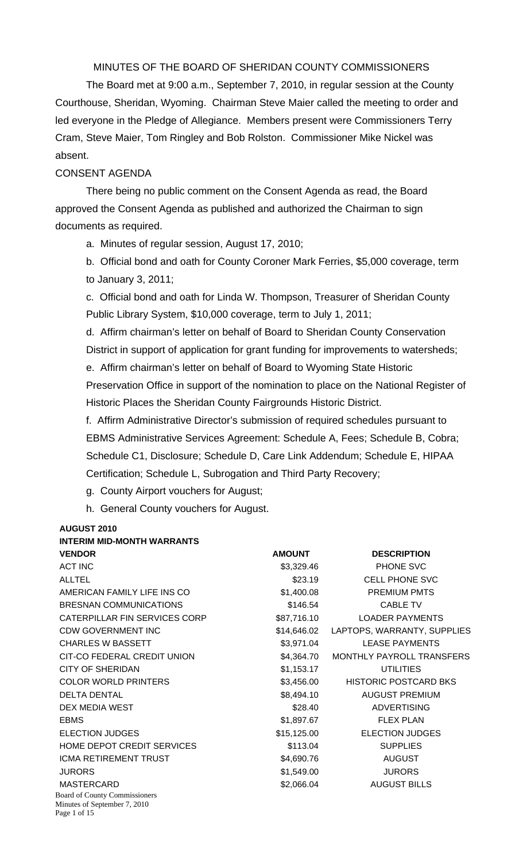MINUTES OF THE BOARD OF SHERIDAN COUNTY COMMISSIONERS

 The Board met at 9:00 a.m., September 7, 2010, in regular session at the County Courthouse, Sheridan, Wyoming. Chairman Steve Maier called the meeting to order and led everyone in the Pledge of Allegiance. Members present were Commissioners Terry Cram, Steve Maier, Tom Ringley and Bob Rolston. Commissioner Mike Nickel was absent.

#### CONSENT AGENDA

There being no public comment on the Consent Agenda as read, the Board approved the Consent Agenda as published and authorized the Chairman to sign documents as required.

a. Minutes of regular session, August 17, 2010;

b. Official bond and oath for County Coroner Mark Ferries, \$5,000 coverage, term to January 3, 2011;

c. Official bond and oath for Linda W. Thompson, Treasurer of Sheridan County Public Library System, \$10,000 coverage, term to July 1, 2011;

d. Affirm chairman's letter on behalf of Board to Sheridan County Conservation District in support of application for grant funding for improvements to watersheds;

e. Affirm chairman's letter on behalf of Board to Wyoming State Historic

Preservation Office in support of the nomination to place on the National Register of Historic Places the Sheridan County Fairgrounds Historic District.

f. Affirm Administrative Director's submission of required schedules pursuant to EBMS Administrative Services Agreement: Schedule A, Fees; Schedule B, Cobra; Schedule C1, Disclosure; Schedule D, Care Link Addendum; Schedule E, HIPAA Certification; Schedule L, Subrogation and Third Party Recovery;

g. County Airport vouchers for August;

h. General County vouchers for August.

#### **AUGUST 2010 INTEDIM MID-MONTH WARRANTS**

| IN I LINIIN INID-INUUN I II WAINNAN I J                                              |               |                              |
|--------------------------------------------------------------------------------------|---------------|------------------------------|
| <b>VENDOR</b>                                                                        | <b>AMOUNT</b> | <b>DESCRIPTION</b>           |
| <b>ACT INC</b>                                                                       | \$3,329.46    | PHONE SVC                    |
| <b>ALLTEL</b>                                                                        | \$23.19       | <b>CELL PHONE SVC</b>        |
| AMERICAN FAMILY LIFE INS CO                                                          | \$1,400.08    | <b>PREMIUM PMTS</b>          |
| <b>BRESNAN COMMUNICATIONS</b>                                                        | \$146.54      | <b>CABLE TV</b>              |
| CATERPILLAR FIN SERVICES CORP                                                        | \$87,716.10   | <b>LOADER PAYMENTS</b>       |
| <b>CDW GOVERNMENT INC</b>                                                            | \$14,646.02   | LAPTOPS, WARRANTY, SUPPLIES  |
| <b>CHARLES W BASSETT</b>                                                             | \$3,971.04    | <b>LEASE PAYMENTS</b>        |
| CIT-CO FEDERAL CREDIT UNION                                                          | \$4,364.70    | MONTHLY PAYROLL TRANSFERS    |
| <b>CITY OF SHERIDAN</b>                                                              | \$1,153.17    | <b>UTILITIES</b>             |
| <b>COLOR WORLD PRINTERS</b>                                                          | \$3,456.00    | <b>HISTORIC POSTCARD BKS</b> |
| <b>DELTA DENTAL</b>                                                                  | \$8,494.10    | <b>AUGUST PREMIUM</b>        |
| DEX MEDIA WEST                                                                       | \$28.40       | <b>ADVERTISING</b>           |
| <b>EBMS</b>                                                                          | \$1,897.67    | <b>FLEX PLAN</b>             |
| <b>ELECTION JUDGES</b>                                                               | \$15,125.00   | <b>ELECTION JUDGES</b>       |
| HOME DEPOT CREDIT SERVICES                                                           | \$113.04      | <b>SUPPLIES</b>              |
| ICMA RETIREMENT TRUST                                                                | \$4,690.76    | <b>AUGUST</b>                |
| <b>JURORS</b>                                                                        | \$1,549.00    | <b>JURORS</b>                |
| <b>MASTERCARD</b>                                                                    | \$2,066.04    | <b>AUGUST BILLS</b>          |
| <b>Board of County Commissioners</b><br>Minutes of September 7, 2010<br>Page 1 of 15 |               |                              |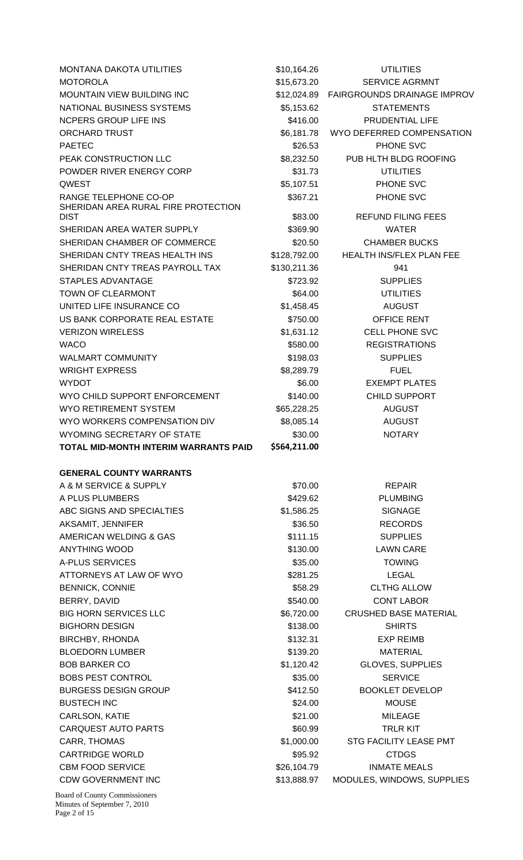| <b>MONTANA DAKOTA UTILITIES</b>                                             | \$10,164.26         | <b>UTILITIES</b>                       |  |  |
|-----------------------------------------------------------------------------|---------------------|----------------------------------------|--|--|
| <b>MOTOROLA</b>                                                             | \$15,673.20         | <b>SERVICE AGRMNT</b>                  |  |  |
| MOUNTAIN VIEW BUILDING INC                                                  | \$12,024.89         | <b>FAIRGROUNDS DRAINAGE IMPROV</b>     |  |  |
| NATIONAL BUSINESS SYSTEMS                                                   | \$5,153.62          | <b>STATEMENTS</b>                      |  |  |
| <b>NCPERS GROUP LIFE INS</b>                                                | \$416.00            | <b>PRUDENTIAL LIFE</b>                 |  |  |
| <b>ORCHARD TRUST</b>                                                        | \$6,181.78          | WYO DEFERRED COMPENSATION              |  |  |
| <b>PAETEC</b>                                                               | \$26.53             | PHONE SVC                              |  |  |
| PEAK CONSTRUCTION LLC                                                       | \$8,232.50          | PUB HLTH BLDG ROOFING                  |  |  |
| POWDER RIVER ENERGY CORP                                                    | \$31.73             | <b>UTILITIES</b>                       |  |  |
| QWEST                                                                       | \$5,107.51          | PHONE SVC                              |  |  |
| RANGE TELEPHONE CO-OP<br>SHERIDAN AREA RURAL FIRE PROTECTION<br><b>DIST</b> | \$367.21<br>\$83.00 | PHONE SVC<br><b>REFUND FILING FEES</b> |  |  |
| SHERIDAN AREA WATER SUPPLY                                                  | \$369.90            | <b>WATER</b>                           |  |  |
| SHERIDAN CHAMBER OF COMMERCE                                                | \$20.50             | <b>CHAMBER BUCKS</b>                   |  |  |
| SHERIDAN CNTY TREAS HEALTH INS                                              | \$128,792.00        | <b>HEALTH INS/FLEX PLAN FEE</b>        |  |  |
| SHERIDAN CNTY TREAS PAYROLL TAX                                             | \$130,211.36        | 941                                    |  |  |
| STAPLES ADVANTAGE                                                           | \$723.92            | <b>SUPPLIES</b>                        |  |  |
| <b>TOWN OF CLEARMONT</b>                                                    | \$64.00             | <b>UTILITIES</b>                       |  |  |
| UNITED LIFE INSURANCE CO                                                    | \$1,458.45          | <b>AUGUST</b>                          |  |  |
| US BANK CORPORATE REAL ESTATE                                               | \$750.00            | OFFICE RENT                            |  |  |
| <b>VERIZON WIRELESS</b>                                                     | \$1,631.12          | <b>CELL PHONE SVC</b>                  |  |  |
| <b>WACO</b>                                                                 | \$580.00            | <b>REGISTRATIONS</b>                   |  |  |
| <b>WALMART COMMUNITY</b>                                                    | \$198.03            | <b>SUPPLIES</b>                        |  |  |
| <b>WRIGHT EXPRESS</b>                                                       | \$8,289.79          | <b>FUEL</b>                            |  |  |
| <b>WYDOT</b>                                                                | \$6.00              | <b>EXEMPT PLATES</b>                   |  |  |
| WYO CHILD SUPPORT ENFORCEMENT                                               | \$140.00            | <b>CHILD SUPPORT</b>                   |  |  |
| <b>WYO RETIREMENT SYSTEM</b>                                                | \$65,228.25         | <b>AUGUST</b>                          |  |  |
| WYO WORKERS COMPENSATION DIV                                                | \$8,085.14          | <b>AUGUST</b>                          |  |  |
| WYOMING SECRETARY OF STATE                                                  | \$30.00             | <b>NOTARY</b>                          |  |  |
| TOTAL MID-MONTH INTERIM WARRANTS PAID                                       | \$564,211.00        |                                        |  |  |
|                                                                             |                     |                                        |  |  |
| <b>GENERAL COUNTY WARRANTS</b>                                              |                     |                                        |  |  |
| A & M SERVICE & SUPPLY                                                      | \$70.00             | <b>REPAIR</b>                          |  |  |
| A PLUS PLUMBERS                                                             | \$429.62            | <b>PLUMBING</b>                        |  |  |
| ABC SIGNS AND SPECIALTIES                                                   | \$1,586.25          | <b>SIGNAGE</b>                         |  |  |
| AKSAMIT, JENNIFER                                                           | \$36.50             | <b>RECORDS</b>                         |  |  |
| AMERICAN WELDING & GAS                                                      | \$111.15            | <b>SUPPLIES</b>                        |  |  |
| <b>ANYTHING WOOD</b>                                                        | \$130.00            | <b>LAWN CARE</b>                       |  |  |
| <b>A-PLUS SERVICES</b>                                                      | \$35.00             | <b>TOWING</b>                          |  |  |
| ATTORNEYS AT LAW OF WYO                                                     | \$281.25            | <b>LEGAL</b>                           |  |  |
| <b>BENNICK, CONNIE</b>                                                      | \$58.29             | <b>CLTHG ALLOW</b>                     |  |  |
| BERRY, DAVID                                                                | \$540.00            | <b>CONT LABOR</b>                      |  |  |
| <b>BIG HORN SERVICES LLC</b>                                                | \$6,720.00          | <b>CRUSHED BASE MATERIAL</b>           |  |  |
| <b>BIGHORN DESIGN</b>                                                       | \$138.00            | <b>SHIRTS</b>                          |  |  |
| <b>BIRCHBY, RHONDA</b>                                                      | \$132.31            | <b>EXP REIMB</b>                       |  |  |
| <b>BLOEDORN LUMBER</b>                                                      | \$139.20            | <b>MATERIAL</b>                        |  |  |
| <b>BOB BARKER CO</b>                                                        | \$1,120.42          | <b>GLOVES, SUPPLIES</b>                |  |  |
| <b>BOBS PEST CONTROL</b>                                                    | \$35.00             | <b>SERVICE</b>                         |  |  |
| <b>BURGESS DESIGN GROUP</b>                                                 | \$412.50            | <b>BOOKLET DEVELOP</b>                 |  |  |
| <b>BUSTECH INC</b>                                                          | \$24.00             | <b>MOUSE</b>                           |  |  |
| CARLSON, KATIE                                                              | \$21.00             | <b>MILEAGE</b>                         |  |  |
| <b>CARQUEST AUTO PARTS</b>                                                  | \$60.99             | <b>TRLR KIT</b>                        |  |  |
| CARR, THOMAS                                                                | \$1,000.00          | <b>STG FACILITY LEASE PMT</b>          |  |  |
| <b>CARTRIDGE WORLD</b>                                                      | \$95.92             | <b>CTDGS</b>                           |  |  |
| <b>CBM FOOD SERVICE</b>                                                     | \$26,104.79         | <b>INMATE MEALS</b>                    |  |  |
| <b>CDW GOVERNMENT INC</b>                                                   | \$13,888.97         | MODULES, WINDOWS, SUPPLIES             |  |  |
|                                                                             |                     |                                        |  |  |

Board of County Commissioners Minutes of September 7, 2010 Page 2 of 15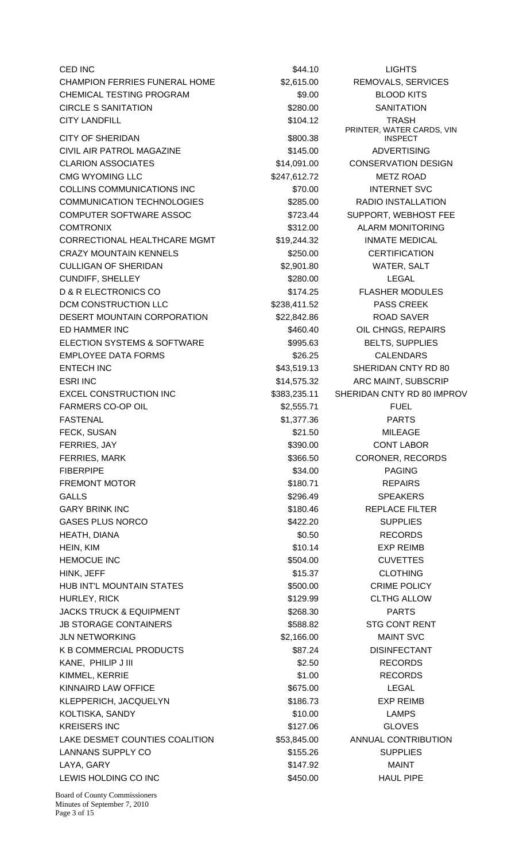$\text{CED INC}$  LIGHTS  $\text{S44.10}$  LIGHTS CHAMPION FERRIES FUNERAL HOME \$2,615.00 REMOVALS, SERVICES CHEMICAL TESTING PROGRAM  $$9.00$  BLOOD KITS CIRCLE S SANITATION 6280.00 SANITATION CITY LANDFILL **TRASH** \$104.12 TRASH CITY OF SHERIDAN \$800.38 CIVIL AIR PATROL MAGAZINE **1990 - Example 2014** \$145.00 ADVERTISING CLARION ASSOCIATES  $$14,091.00$  CONSERVATION DESIGN CMG WYOMING LLC 6247,612.72 METZ ROAD COLLINS COMMUNICATIONS INC \$70.00 INTERNET SVC COMMUNICATION TECHNOLOGIES \$285.00 RADIO INSTALLATION COMPUTER SOFTWARE ASSOC  $\begin{array}{ccc} 1.6 & 3723.44 & \text{SUPPORT, WEBHOST FEE} \end{array}$ COMTRONIX \$312.00 ALARM MONITORING CORRECTIONAL HEALTHCARE MGMT \$19,244.32 INMATE MEDICAL CRAZY MOUNTAIN KENNELS \$250.00 CERTIFICATION CULLIGAN OF SHERIDAN \$2,901.80 WATER, SALT CUNDIFF, SHELLEY \$280.00 LEGAL D & R ELECTRONICS CO \$174.25 FLASHER MODULES DCM CONSTRUCTION LLC  $$238,411.52$  PASS CREEK DESERT MOUNTAIN CORPORATION \$22,842.86 ROAD SAVER ED HAMMER INC **EXECUTE:** THE SALE OF S460.40 OIL CHNGS, REPAIRS ELECTION SYSTEMS & SOFTWARE  $$995.63$  BELTS, SUPPLIES EMPLOYEE DATA FORMS THE SECOND SECTION AND STREET STATES OF CALENDARS ENTECH INC **ENTECH INC** \$43,519.13 SHERIDAN CNTY RD 80 ESRI INC \$14,575.32 ARC MAINT, SUBSCRIP EXCEL CONSTRUCTION INC \$383,235.11 SHERIDAN CNTY RD 80 IMPROV FARMERS CO-OP OIL **1998 Example 20 S2,555.71** FUEL FASTENAL \$1,377.36 PARTS FECK, SUSAN **EXECUTE A SET A SET A SET A SET A** \$21.50 MILEAGE FERRIES, JAY \$390.00 CONT LABOR FERRIES, MARK \$366.50 CORONER, RECORDS FIBERPIPE 534.00 PAGING FREMONT MOTOR **\$180.71** REPAIRS GALLS \$296.49 SPEAKERS GARY BRINK INC **6. In the State of the State of State 3180.46** REPLACE FILTER GASES PLUS NORCO \$422.20 SUPPLIES HEATH, DIANA \$0.50 RECORDS HEIN, KIM \$10.14 EXP REIMB HEMOCUE INC **EXECUTE:**  $$504.00$  CUVETTES HINK, JEFF \$15.37 CLOTHING HUB INT'L MOUNTAIN STATES \$500.00 CRIME POLICY HURLEY, RICK \$129.99 CLTHG ALLOW JACKS TRUCK & EQUIPMENT  $$268.30$  PARTS JB STORAGE CONTAINERS  $$588.82$  STG CONT RENT JLN NETWORKING \$2,166.00 MAINT SVC K B COMMERCIAL PRODUCTS  $$87.24$  DISINFECTANT KANE, PHILIP J III \$2.50 RECORDS KIMMEL, KERRIE \$1.00 RECORDS KINNAIRD LAW OFFICE **\$675.00** LEGAL KLEPPERICH, JACQUELYN **\$186.73** EXP REIMB KOLTISKA, SANDY \$10.00 LAMPS KREISERS INC \$127.06 GLOVES LAKE DESMET COUNTIES COALITION \$53,845.00 ANNUAL CONTRIBUTION LANNANS SUPPLY CO **\$155.26** SUPPLIES LAYA, GARY \$147.92 MAINT LEWIS HOLDING CO INC **EXECUTE:** \$450.00 HAUL PIPE

PRINTER, WATER CARDS, VIN INSPECT

Board of County Commissioners Minutes of September 7, 2010 Page 3 of 15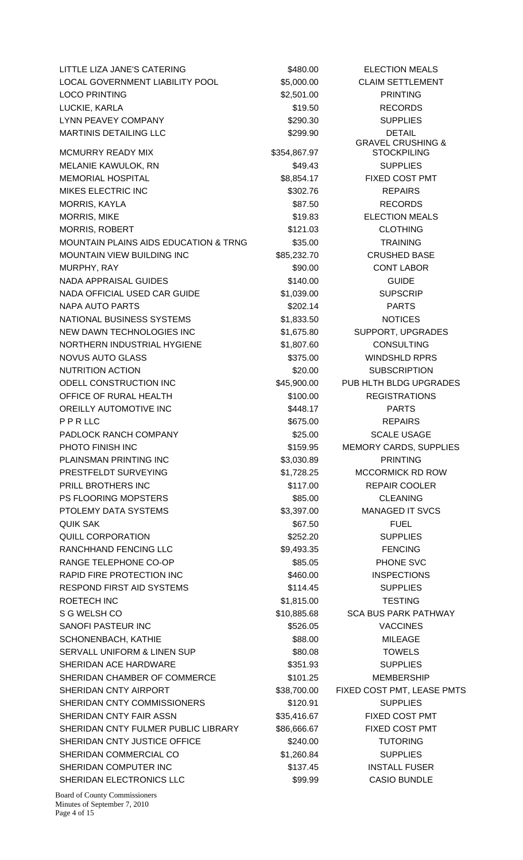LITTLE LIZA JANE'S CATERING THE SALL STARS AND SARD SARD SELECTION MEALS LOCAL GOVERNMENT LIABILITY POOL \$5,000.00 CLAIM SETTLEMENT LOCO PRINTING  $$2,501.00$  PRINTING LUCKIE, KARLA \$19.50 RECORDS LYNN PEAVEY COMPANY **1990.30** S290.30 SUPPLIES MARTINIS DETAILING LLC \$299.90 DETAIL MCMURRY READY MIX \$354,867.97 MELANIE KAWULOK, RN \$49.43 SUPPLIES MEMORIAL HOSPITAL **1988-117** S8,854.17 FIXED COST PMT MIKES ELECTRIC INC \$302.76 REPAIRS MORRIS, KAYLA \$87.50 RECORDS MORRIS, MIKE \$19.83 ELECTION MEALS MORRIS, ROBERT  $$121.03$  CLOTHING MOUNTAIN PLAINS AIDS EDUCATION & TRNG \$35.00 TRAINING MOUNTAIN VIEW BUILDING INC  $$85,232.70$  CRUSHED BASE MURPHY, RAY \$90.00 CONT LABOR NADA APPRAISAL GUIDES \$140.00 GUIDE NADA OFFICIAL USED CAR GUIDE  $$1,039.00$  SUPSCRIP NAPA AUTO PARTS \$202.14 PARTS NATIONAL BUSINESS SYSTEMS  $$1,833.50$  NOTICES NEW DAWN TECHNOLOGIES INC  $$1,675.80$  SUPPORT, UPGRADES NORTHERN INDUSTRIAL HYGIENE \$1,807.60 CONSULTING NOVUS AUTO GLASS \$375.00 WINDSHLD RPRS NUTRITION ACTION **120.00** SUBSCRIPTION ODELL CONSTRUCTION INC  $$45,900.00$  PUB HLTH BLDG UPGRADES OFFICE OF RURAL HEALTH  $$100.00$  REGISTRATIONS OREILLY AUTOMOTIVE INC **Example 20 S448.17** PARTS P P R LLC \$675.00 REPAIRS PADLOCK RANCH COMPANY **1992 125.00** \$25.00 SCALE USAGE PHOTO FINISH INC **EXECUTE:** The State of the State of State of the State of State of State of State of State of State of State of State of State of State of State of State of State of State of State of State of State of St PLAINSMAN PRINTING INC **\$3,030.89** PRINTING PRESTFELDT SURVEYING  $$1,728.25$  MCCORMICK RD ROW PRILL BROTHERS INC **8117.00** REPAIR COOLER PS FLOORING MOPSTERS 685.00 CLEANING PTOLEMY DATA SYSTEMS  $$3,397.00$  MANAGED IT SVCS QUIK SAK \$67.50 FUEL QUILL CORPORATION 6252.20 SUPPLIES RANCHHAND FENCING LLC  $$9,493.35$  FENCING RANGE TELEPHONE CO-OP  $$85.05$  PHONE SVC RAPID FIRE PROTECTION INC **1996 100 S460.00** INSPECTIONS RESPOND FIRST AID SYSTEMS  $$114.45$  SUPPLIES ROETECH INC 6 1,815.00 TESTING S G WELSH CO \$10,885.68 SCA BUS PARK PATHWAY SANOFI PASTEUR INC \$526.05 VACCINES SCHONENBACH, KATHIE \$88.00 MILEAGE SERVALL UNIFORM & LINEN SUP TOWELS \$80.08 TOWELS SHERIDAN ACE HARDWARE \$351.93 SUPPLIES SHERIDAN CHAMBER OF COMMERCE \$101.25 MEMBERSHIP SHERIDAN CNTY AIRPORT  $$38,700.00$  FIXED COST PMT, LEASE PMTS SHERIDAN CNTY COMMISSIONERS **\$120.91** \$120.91 SUPPLIES SHERIDAN CNTY FAIR ASSN \$35,416.67 FIXED COST PMT SHERIDAN CNTY FULMER PUBLIC LIBRARY \$86,666.67 FIXED COST PMT SHERIDAN CNTY JUSTICE OFFICE **1200** \$240.00 TUTORING SHERIDAN COMMERCIAL CO  $$1,260.84$  SUPPLIES SHERIDAN COMPUTER INC **\$137.45** INSTALL FUSER SHERIDAN ELECTRONICS LLC **SPACIFIC ASSAULT CASIO BUNDLE** 

GRAVEL CRUSHING & **STOCKPILING** 

Board of County Commissioners Minutes of September 7, 2010 Page 4 of 15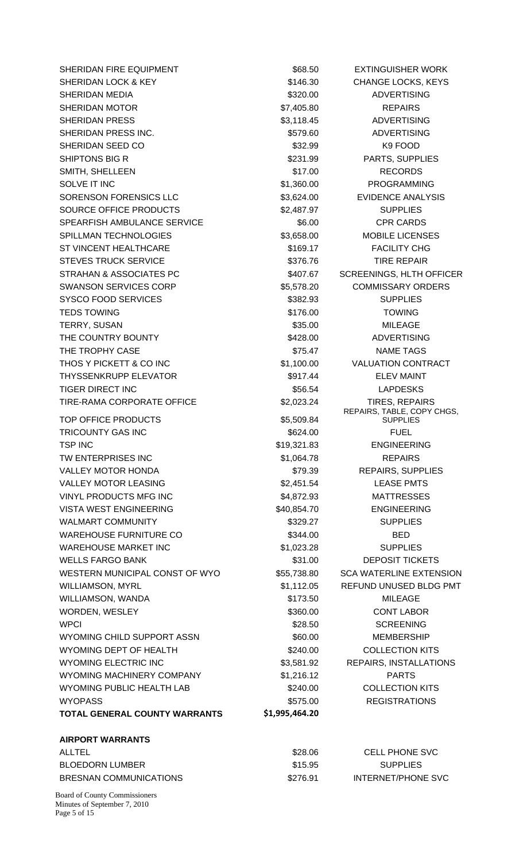SHERIDAN FIRE EQUIPMENT **1200 CONTROLS SESS** 568.50 EXTINGUISHER WORK SHERIDAN LOCK & KEY \$146.30 CHANGE LOCKS, KEYS SHERIDAN MEDIA \$320.00 ADVERTISING SHERIDAN MOTOR **\$7,405.80 REPAIRS** SHERIDAN PRESS \$3,118.45 ADVERTISING SHERIDAN PRESS INC. \$579.60 ADVERTISING SHERIDAN SEED CO \$32.99 K9 FOOD SHIPTONS BIG R \$231.99 PARTS, SUPPLIES SMITH, SHELLEEN \$17.00 RECORDS SOLVE IT INC **All and Struck Contract Contract Contract Contract Contract Contract Contract Contract Contract Contract Contract Contract Contract Contract Contract Contract Contract Contract Contract Contract Contract Cont** SORENSON FORENSICS LLC **S3,624.00** EVIDENCE ANALYSIS SOURCE OFFICE PRODUCTS  $$2.487.97$  SUPPLIES SPEARFISH AMBULANCE SERVICE  $$6.00$  CPR CARDS SPILLMAN TECHNOLOGIES  $$3,658.00$  MOBILE LICENSES ST VINCENT HEALTHCARE \$169.17 FACILITY CHG STEVES TRUCK SERVICE **\$376.76** STEVES TIRE REPAIR STRAHAN & ASSOCIATES PC  $$407.67$  SCREENINGS, HLTH OFFICER SWANSON SERVICES CORP  $$5,578.20$  COMMISSARY ORDERS SYSCO FOOD SERVICES **\$382.93** SUPPLIES TEDS TOWING **TEDS TOWING EXAMPLE 12 TOWING** TERRY, SUSAN \$35.00 MILEAGE THE COUNTRY BOUNTY **128.00** \$428.00 ADVERTISING THE TROPHY CASE THE TROPHY CASE THE STOLE STOLEN STOLEN STOLEN STOLEN TAGS THOS Y PICKETT & CO INC  $$1,100.00$  VALUATION CONTRACT THYSSENKRUPP ELEVATOR THE SELEV MAINT TIGER DIRECT INC **the state of the SSS-54** S56.54 LAPDESKS TIRE-RAMA CORPORATE OFFICE \$2,023.24 TIRES, REPAIRS TOP OFFICE PRODUCTS \$5,509.84 TRICOUNTY GAS INC **Example 2018** S624.00 **FUEL** TSP INC 6-19,321.83 ENGINEERING TW ENTERPRISES INC  $$1,064.78$  REPAIRS VALLEY MOTOR HONDA **1998 120 STS** 79.39 REPAIRS, SUPPLIES VALLEY MOTOR LEASING  $$2,451.54$  LEASE PMTS VINYL PRODUCTS MFG INC  $$4,872.93$  MATTRESSES VISTA WEST ENGINEERING  $$40,854.70$  ENGINEERING WALMART COMMUNITY **1200 SETS** \$329.27 SUPPLIES WAREHOUSE FURNITURE CO  $$344.00$  BED WAREHOUSE MARKET INC  $$1,023.28$  SUPPLIES WELLS FARGO BANK \$31.00 DEPOSIT TICKETS WESTERN MUNICIPAL CONST OF WYO \$55,738.80 SCA WATERLINE EXTENSION WILLIAMSON, MYRL **AN ARRY AN ARRY 1999 ST AT A STATE STATES AND STATE STATES BLDG PMT** WILLIAMSON, WANDA \$173.50 MILEAGE WORDEN, WESLEY **\$360.00** \$360.00 CONT LABOR WPCI 80 NOVEMBER 28.50 SCREENING WYOMING CHILD SUPPORT ASSN \$60.00 MEMBERSHIP WYOMING DEPT OF HEALTH \$240.00 COLLECTION KITS WYOMING ELECTRIC INC **63,581.92** REPAIRS, INSTALLATIONS WYOMING MACHINERY COMPANY  $$1,216.12$  PARTS WYOMING PUBLIC HEALTH LAB  $$240.00$  COLLECTION KITS WYOPASS \$575.00 REGISTRATIONS **TOTAL GENERAL COUNTY WARRANTS \$1,995,464.20 AIRPORT WARRANTS**  ALLTEL \$28.06 CELL PHONE SVC BLOEDORN LUMBER \$15.95 SUPPLIES

REPAIRS, TABLE, COPY CHGS, **SUPPLIES** 

Board of County Commissioners Minutes of September 7, 2010 Page 5 of 15

BRESNAN COMMUNICATIONS 6276.91 INTERNET/PHONE SVC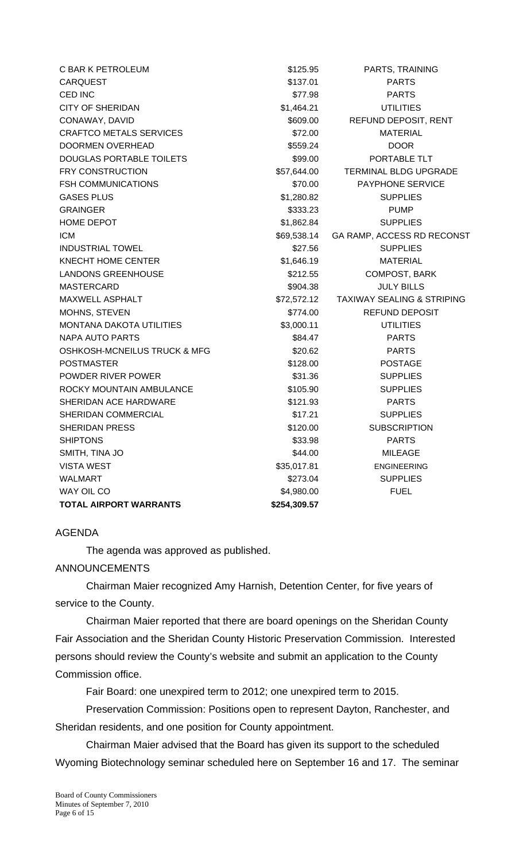| C BAR K PETROLEUM               | \$125.95     | PARTS, TRAINING                       |  |  |
|---------------------------------|--------------|---------------------------------------|--|--|
| <b>CARQUEST</b>                 | \$137.01     | <b>PARTS</b>                          |  |  |
| CED INC                         | \$77.98      | <b>PARTS</b>                          |  |  |
| <b>CITY OF SHERIDAN</b>         | \$1,464.21   | <b>UTILITIES</b>                      |  |  |
| CONAWAY, DAVID                  | \$609.00     | REFUND DEPOSIT, RENT                  |  |  |
| <b>CRAFTCO METALS SERVICES</b>  | \$72.00      | <b>MATERIAL</b>                       |  |  |
| <b>DOORMEN OVERHEAD</b>         | \$559.24     | <b>DOOR</b>                           |  |  |
| DOUGLAS PORTABLE TOILETS        | \$99.00      | PORTABLE TLT                          |  |  |
| <b>FRY CONSTRUCTION</b>         | \$57,644.00  | <b>TERMINAL BLDG UPGRADE</b>          |  |  |
| <b>FSH COMMUNICATIONS</b>       | \$70.00      | <b>PAYPHONE SERVICE</b>               |  |  |
| <b>GASES PLUS</b>               | \$1,280.82   | <b>SUPPLIES</b>                       |  |  |
| <b>GRAINGER</b>                 | \$333.23     | <b>PUMP</b>                           |  |  |
| HOME DEPOT                      | \$1,862.84   | <b>SUPPLIES</b>                       |  |  |
| <b>ICM</b>                      | \$69,538.14  | GA RAMP, ACCESS RD RECONST            |  |  |
| <b>INDUSTRIAL TOWEL</b>         | \$27.56      | <b>SUPPLIES</b>                       |  |  |
| KNECHT HOME CENTER              | \$1,646.19   | <b>MATERIAL</b>                       |  |  |
| <b>LANDONS GREENHOUSE</b>       | \$212.55     | COMPOST, BARK                         |  |  |
| <b>MASTERCARD</b>               | \$904.38     | <b>JULY BILLS</b>                     |  |  |
| <b>MAXWELL ASPHALT</b>          | \$72,572.12  | <b>TAXIWAY SEALING &amp; STRIPING</b> |  |  |
| MOHNS, STEVEN                   | \$774.00     | <b>REFUND DEPOSIT</b>                 |  |  |
| <b>MONTANA DAKOTA UTILITIES</b> | \$3,000.11   | <b>UTILITIES</b>                      |  |  |
| NAPA AUTO PARTS                 | \$84.47      | <b>PARTS</b>                          |  |  |
| OSHKOSH-MCNEILUS TRUCK & MFG    | \$20.62      | <b>PARTS</b>                          |  |  |
| <b>POSTMASTER</b>               | \$128.00     | <b>POSTAGE</b>                        |  |  |
| POWDER RIVER POWER              | \$31.36      | <b>SUPPLIES</b>                       |  |  |
| ROCKY MOUNTAIN AMBULANCE        | \$105.90     | <b>SUPPLIES</b>                       |  |  |
| SHERIDAN ACE HARDWARE           | \$121.93     | <b>PARTS</b>                          |  |  |
| SHERIDAN COMMERCIAL             | \$17.21      | <b>SUPPLIES</b>                       |  |  |
| <b>SHERIDAN PRESS</b>           | \$120.00     | <b>SUBSCRIPTION</b>                   |  |  |
| <b>SHIPTONS</b>                 | \$33.98      | <b>PARTS</b>                          |  |  |
| SMITH, TINA JO                  | \$44.00      | <b>MILEAGE</b>                        |  |  |
| <b>VISTA WEST</b>               | \$35,017.81  | <b>ENGINEERING</b>                    |  |  |
| <b>WALMART</b>                  | \$273.04     | <b>SUPPLIES</b>                       |  |  |
| WAY OIL CO                      | \$4,980.00   | <b>FUEL</b>                           |  |  |
| <b>TOTAL AIRPORT WARRANTS</b>   | \$254,309.57 |                                       |  |  |

## AGENDA

The agenda was approved as published.

## ANNOUNCEMENTS

 Chairman Maier recognized Amy Harnish, Detention Center, for five years of service to the County.

Chairman Maier reported that there are board openings on the Sheridan County Fair Association and the Sheridan County Historic Preservation Commission. Interested persons should review the County's website and submit an application to the County Commission office.

Fair Board: one unexpired term to 2012; one unexpired term to 2015.

Preservation Commission: Positions open to represent Dayton, Ranchester, and Sheridan residents, and one position for County appointment.

Chairman Maier advised that the Board has given its support to the scheduled Wyoming Biotechnology seminar scheduled here on September 16 and 17. The seminar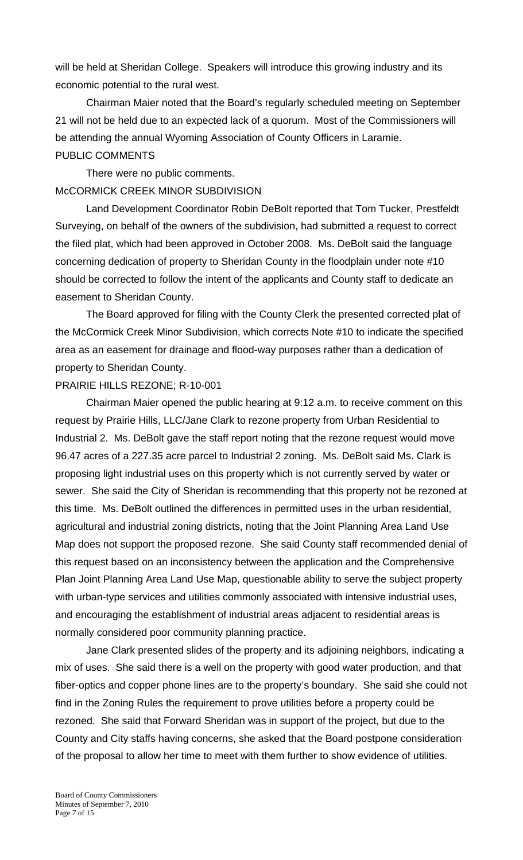will be held at Sheridan College. Speakers will introduce this growing industry and its economic potential to the rural west.

Chairman Maier noted that the Board's regularly scheduled meeting on September 21 will not be held due to an expected lack of a quorum. Most of the Commissioners will be attending the annual Wyoming Association of County Officers in Laramie. PUBLIC COMMENTS

 There were no public comments. McCORMICK CREEK MINOR SUBDIVISION

Land Development Coordinator Robin DeBolt reported that Tom Tucker, Prestfeldt Surveying, on behalf of the owners of the subdivision, had submitted a request to correct the filed plat, which had been approved in October 2008. Ms. DeBolt said the language concerning dedication of property to Sheridan County in the floodplain under note #10 should be corrected to follow the intent of the applicants and County staff to dedicate an easement to Sheridan County.

 The Board approved for filing with the County Clerk the presented corrected plat of the McCormick Creek Minor Subdivision, which corrects Note #10 to indicate the specified area as an easement for drainage and flood-way purposes rather than a dedication of property to Sheridan County.

# PRAIRIE HILLS REZONE; R-10-001

 Chairman Maier opened the public hearing at 9:12 a.m. to receive comment on this request by Prairie Hills, LLC/Jane Clark to rezone property from Urban Residential to Industrial 2. Ms. DeBolt gave the staff report noting that the rezone request would move 96.47 acres of a 227.35 acre parcel to Industrial 2 zoning. Ms. DeBolt said Ms. Clark is proposing light industrial uses on this property which is not currently served by water or sewer. She said the City of Sheridan is recommending that this property not be rezoned at this time. Ms. DeBolt outlined the differences in permitted uses in the urban residential, agricultural and industrial zoning districts, noting that the Joint Planning Area Land Use Map does not support the proposed rezone. She said County staff recommended denial of this request based on an inconsistency between the application and the Comprehensive Plan Joint Planning Area Land Use Map, questionable ability to serve the subject property with urban-type services and utilities commonly associated with intensive industrial uses, and encouraging the establishment of industrial areas adjacent to residential areas is normally considered poor community planning practice.

Jane Clark presented slides of the property and its adjoining neighbors, indicating a mix of uses. She said there is a well on the property with good water production, and that fiber-optics and copper phone lines are to the property's boundary. She said she could not find in the Zoning Rules the requirement to prove utilities before a property could be rezoned. She said that Forward Sheridan was in support of the project, but due to the County and City staffs having concerns, she asked that the Board postpone consideration of the proposal to allow her time to meet with them further to show evidence of utilities.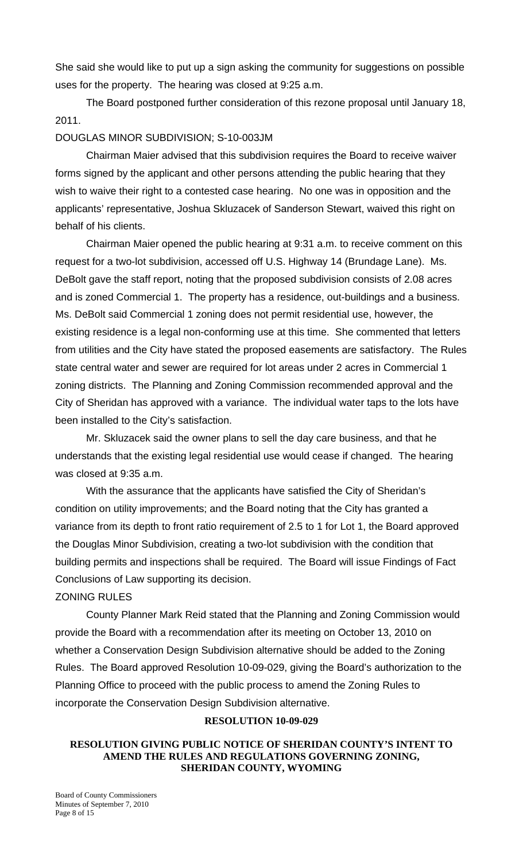She said she would like to put up a sign asking the community for suggestions on possible uses for the property. The hearing was closed at 9:25 a.m.

The Board postponed further consideration of this rezone proposal until January 18, 2011.

# DOUGLAS MINOR SUBDIVISION; S-10-003JM

 Chairman Maier advised that this subdivision requires the Board to receive waiver forms signed by the applicant and other persons attending the public hearing that they wish to waive their right to a contested case hearing. No one was in opposition and the applicants' representative, Joshua Skluzacek of Sanderson Stewart, waived this right on behalf of his clients.

 Chairman Maier opened the public hearing at 9:31 a.m. to receive comment on this request for a two-lot subdivision, accessed off U.S. Highway 14 (Brundage Lane). Ms. DeBolt gave the staff report, noting that the proposed subdivision consists of 2.08 acres and is zoned Commercial 1. The property has a residence, out-buildings and a business. Ms. DeBolt said Commercial 1 zoning does not permit residential use, however, the existing residence is a legal non-conforming use at this time. She commented that letters from utilities and the City have stated the proposed easements are satisfactory. The Rules state central water and sewer are required for lot areas under 2 acres in Commercial 1 zoning districts. The Planning and Zoning Commission recommended approval and the City of Sheridan has approved with a variance. The individual water taps to the lots have been installed to the City's satisfaction.

 Mr. Skluzacek said the owner plans to sell the day care business, and that he understands that the existing legal residential use would cease if changed. The hearing was closed at 9:35 a.m.

 With the assurance that the applicants have satisfied the City of Sheridan's condition on utility improvements; and the Board noting that the City has granted a variance from its depth to front ratio requirement of 2.5 to 1 for Lot 1, the Board approved the Douglas Minor Subdivision, creating a two-lot subdivision with the condition that building permits and inspections shall be required. The Board will issue Findings of Fact Conclusions of Law supporting its decision.

## ZONING RULES

 County Planner Mark Reid stated that the Planning and Zoning Commission would provide the Board with a recommendation after its meeting on October 13, 2010 on whether a Conservation Design Subdivision alternative should be added to the Zoning Rules. The Board approved Resolution 10-09-029, giving the Board's authorization to the Planning Office to proceed with the public process to amend the Zoning Rules to incorporate the Conservation Design Subdivision alternative.

## **RESOLUTION 10-09-029**

## **RESOLUTION GIVING PUBLIC NOTICE OF SHERIDAN COUNTY'S INTENT TO AMEND THE RULES AND REGULATIONS GOVERNING ZONING, SHERIDAN COUNTY, WYOMING**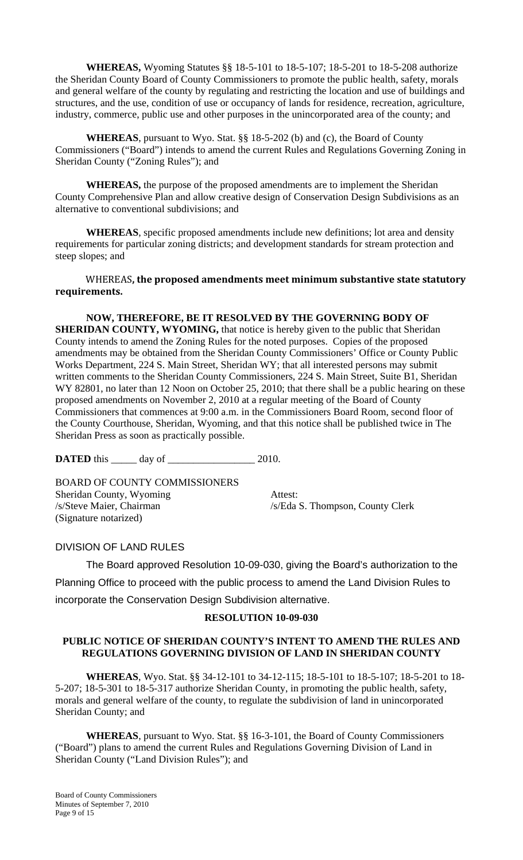**WHEREAS,** Wyoming Statutes §§ 18-5-101 to 18-5-107; 18-5-201 to 18-5-208 authorize the Sheridan County Board of County Commissioners to promote the public health, safety, morals and general welfare of the county by regulating and restricting the location and use of buildings and structures, and the use, condition of use or occupancy of lands for residence, recreation, agriculture, industry, commerce, public use and other purposes in the unincorporated area of the county; and

**WHEREAS**, pursuant to Wyo. Stat. §§ 18-5-202 (b) and (c), the Board of County Commissioners ("Board") intends to amend the current Rules and Regulations Governing Zoning in Sheridan County ("Zoning Rules"); and

**WHEREAS,** the purpose of the proposed amendments are to implement the Sheridan County Comprehensive Plan and allow creative design of Conservation Design Subdivisions as an alternative to conventional subdivisions; and

**WHEREAS**, specific proposed amendments include new definitions; lot area and density requirements for particular zoning districts; and development standards for stream protection and steep slopes; and

### WHEREAS**, the proposed amendments meet minimum substantive state statutory requirements.**

**NOW, THEREFORE, BE IT RESOLVED BY THE GOVERNING BODY OF SHERIDAN COUNTY, WYOMING,** that notice is hereby given to the public that Sheridan County intends to amend the Zoning Rules for the noted purposes. Copies of the proposed amendments may be obtained from the Sheridan County Commissioners' Office or County Public Works Department, 224 S. Main Street, Sheridan WY; that all interested persons may submit written comments to the Sheridan County Commissioners, 224 S. Main Street, Suite B1, Sheridan WY 82801, no later than 12 Noon on October 25, 2010; that there shall be a public hearing on these proposed amendments on November 2, 2010 at a regular meeting of the Board of County Commissioners that commences at 9:00 a.m. in the Commissioners Board Room, second floor of the County Courthouse, Sheridan, Wyoming, and that this notice shall be published twice in The Sheridan Press as soon as practically possible.

**DATED** this \_\_\_\_\_\_ day of \_\_\_\_\_\_\_\_\_\_\_\_\_\_\_\_\_\_\_\_\_\_\_\_ 2010.

BOARD OF COUNTY COMMISSIONERS Sheridan County, Wyoming Attest: /s/Steve Maier, Chairman /s/Eda S. Thompson, County Clerk (Signature notarized)

## DIVISION OF LAND RULES

 The Board approved Resolution 10-09-030, giving the Board's authorization to the Planning Office to proceed with the public process to amend the Land Division Rules to incorporate the Conservation Design Subdivision alternative.

## **RESOLUTION 10-09-030**

#### **PUBLIC NOTICE OF SHERIDAN COUNTY'S INTENT TO AMEND THE RULES AND REGULATIONS GOVERNING DIVISION OF LAND IN SHERIDAN COUNTY**

 **WHEREAS**, Wyo. Stat. §§ 34-12-101 to 34-12-115; 18-5-101 to 18-5-107; 18-5-201 to 18- 5-207; 18-5-301 to 18-5-317 authorize Sheridan County, in promoting the public health, safety, morals and general welfare of the county, to regulate the subdivision of land in unincorporated Sheridan County; and

**WHEREAS**, pursuant to Wyo. Stat. §§ 16-3-101, the Board of County Commissioners ("Board") plans to amend the current Rules and Regulations Governing Division of Land in Sheridan County ("Land Division Rules"); and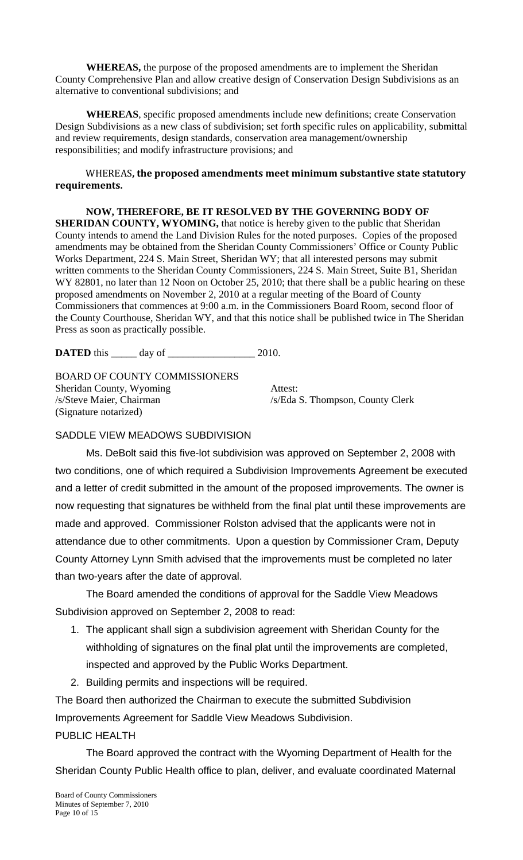**WHEREAS,** the purpose of the proposed amendments are to implement the Sheridan County Comprehensive Plan and allow creative design of Conservation Design Subdivisions as an alternative to conventional subdivisions; and

**WHEREAS**, specific proposed amendments include new definitions; create Conservation Design Subdivisions as a new class of subdivision; set forth specific rules on applicability, submittal and review requirements, design standards, conservation area management/ownership responsibilities; and modify infrastructure provisions; and

## WHEREAS**, the proposed amendments meet minimum substantive state statutory requirements.**

**NOW, THEREFORE, BE IT RESOLVED BY THE GOVERNING BODY OF SHERIDAN COUNTY, WYOMING,** that notice is hereby given to the public that Sheridan County intends to amend the Land Division Rules for the noted purposes. Copies of the proposed amendments may be obtained from the Sheridan County Commissioners' Office or County Public Works Department, 224 S. Main Street, Sheridan WY; that all interested persons may submit written comments to the Sheridan County Commissioners, 224 S. Main Street, Suite B1, Sheridan WY 82801, no later than 12 Noon on October 25, 2010; that there shall be a public hearing on these proposed amendments on November 2, 2010 at a regular meeting of the Board of County Commissioners that commences at 9:00 a.m. in the Commissioners Board Room, second floor of the County Courthouse, Sheridan WY, and that this notice shall be published twice in The Sheridan Press as soon as practically possible.

**DATED** this day of 2010.

BOARD OF COUNTY COMMISSIONERS Sheridan County, Wyoming Attest: /s/Steve Maier, Chairman /s/Eda S. Thompson, County Clerk (Signature notarized)

## SADDLE VIEW MEADOWS SUBDIVISION

 Ms. DeBolt said this five-lot subdivision was approved on September 2, 2008 with two conditions, one of which required a Subdivision Improvements Agreement be executed and a letter of credit submitted in the amount of the proposed improvements. The owner is now requesting that signatures be withheld from the final plat until these improvements are made and approved. Commissioner Rolston advised that the applicants were not in attendance due to other commitments. Upon a question by Commissioner Cram, Deputy County Attorney Lynn Smith advised that the improvements must be completed no later than two-years after the date of approval.

 The Board amended the conditions of approval for the Saddle View Meadows Subdivision approved on September 2, 2008 to read:

- 1. The applicant shall sign a subdivision agreement with Sheridan County for the withholding of signatures on the final plat until the improvements are completed, inspected and approved by the Public Works Department.
- 2. Building permits and inspections will be required.

The Board then authorized the Chairman to execute the submitted Subdivision Improvements Agreement for Saddle View Meadows Subdivision.

## PUBLIC HEALTH

 The Board approved the contract with the Wyoming Department of Health for the Sheridan County Public Health office to plan, deliver, and evaluate coordinated Maternal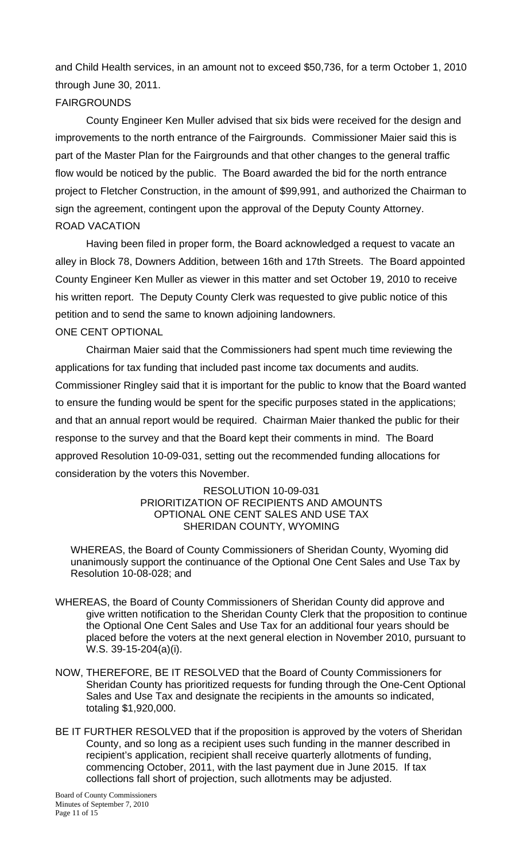and Child Health services, in an amount not to exceed \$50,736, for a term October 1, 2010 through June 30, 2011.

# FAIRGROUNDS

 County Engineer Ken Muller advised that six bids were received for the design and improvements to the north entrance of the Fairgrounds. Commissioner Maier said this is part of the Master Plan for the Fairgrounds and that other changes to the general traffic flow would be noticed by the public. The Board awarded the bid for the north entrance project to Fletcher Construction, in the amount of \$99,991, and authorized the Chairman to sign the agreement, contingent upon the approval of the Deputy County Attorney. ROAD VACATION

 Having been filed in proper form, the Board acknowledged a request to vacate an alley in Block 78, Downers Addition, between 16th and 17th Streets. The Board appointed County Engineer Ken Muller as viewer in this matter and set October 19, 2010 to receive his written report. The Deputy County Clerk was requested to give public notice of this petition and to send the same to known adjoining landowners. ONE CENT OPTIONAL

 Chairman Maier said that the Commissioners had spent much time reviewing the applications for tax funding that included past income tax documents and audits. Commissioner Ringley said that it is important for the public to know that the Board wanted to ensure the funding would be spent for the specific purposes stated in the applications; and that an annual report would be required. Chairman Maier thanked the public for their response to the survey and that the Board kept their comments in mind. The Board approved Resolution 10-09-031, setting out the recommended funding allocations for consideration by the voters this November.

## RESOLUTION 10-09-031 PRIORITIZATION OF RECIPIENTS AND AMOUNTS OPTIONAL ONE CENT SALES AND USE TAX SHERIDAN COUNTY, WYOMING

WHEREAS, the Board of County Commissioners of Sheridan County, Wyoming did unanimously support the continuance of the Optional One Cent Sales and Use Tax by Resolution 10-08-028; and

- WHEREAS, the Board of County Commissioners of Sheridan County did approve and give written notification to the Sheridan County Clerk that the proposition to continue the Optional One Cent Sales and Use Tax for an additional four years should be placed before the voters at the next general election in November 2010, pursuant to W.S. 39-15-204(a)(i).
- NOW, THEREFORE, BE IT RESOLVED that the Board of County Commissioners for Sheridan County has prioritized requests for funding through the One-Cent Optional Sales and Use Tax and designate the recipients in the amounts so indicated, totaling \$1,920,000.
- BE IT FURTHER RESOLVED that if the proposition is approved by the voters of Sheridan County, and so long as a recipient uses such funding in the manner described in recipient's application, recipient shall receive quarterly allotments of funding, commencing October, 2011, with the last payment due in June 2015. If tax collections fall short of projection, such allotments may be adjusted.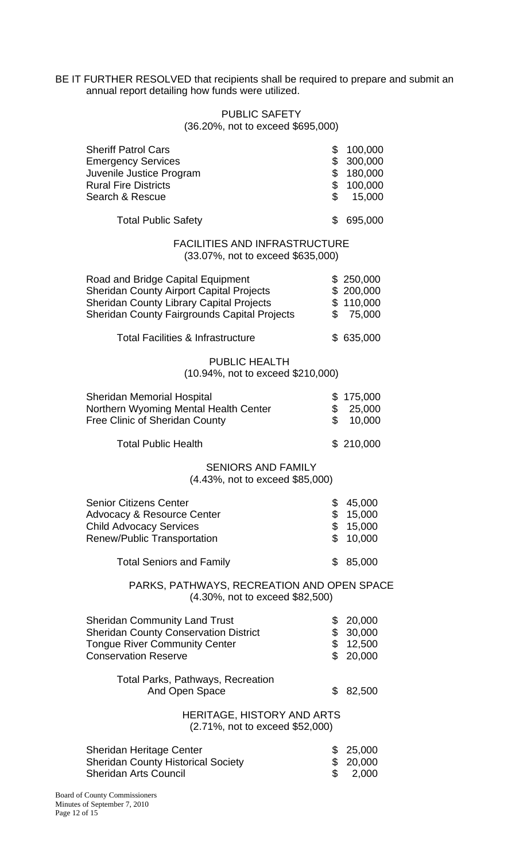BE IT FURTHER RESOLVED that recipients shall be required to prepare and submit an annual report detailing how funds were utilized.

#### PUBLIC SAFETY (36.20%, not to exceed \$695,000)

Sheriff Patrol Cars \$ 100,000 Emergency Services<br>
Juvenile Justice Program<br>
3 180,000 Juvenile Justice Program  $$ 180,000$ Rural Fire Districts **\$ 100,000** Search & Rescue \$ 15,000 Total Public Safety **\$ 695,000** FACILITIES AND INFRASTRUCTURE (33.07%, not to exceed \$635,000) Road and Bridge Capital Equipment  $$ 250,000$ <br>Sheridan County Airport Capital Projects  $$ 200,000$ Sheridan County Airport Capital Projects Sheridan County Library Capital Projects \$ 110,000 Sheridan County Fairgrounds Capital Projects \$ 75,000 Total Facilities & Infrastructure \$ 635,000 PUBLIC HEALTH (10.94%, not to exceed \$210,000) Sheridan Memorial Hospital **\$175,000** Northern Wyoming Mental Health Center  $$25,000$ Free Clinic of Sheridan County  $$ 10,000$ Total Public Health  $$210,000$ SENIORS AND FAMILY (4.43%, not to exceed \$85,000) Senior Citizens Center \$ 45,000 Advocacy & Resource Center  $$ 15,000$ Child Advocacy Services \$ 15,000 Renew/Public Transportation  $$ 10,000$ Total Seniors and Family  $$85,000$ PARKS, PATHWAYS, RECREATION AND OPEN SPACE (4.30%, not to exceed \$82,500) Sheridan Community Land Trust  $$20,000$ Sheridan County Conservation District  $$30,000$ Tongue River Community Center **\$ 12,500** Conservation Reserve **\$ 20,000** Total Parks, Pathways, Recreation And Open Space \$ 82,500

> HERITAGE, HISTORY AND ARTS (2.71%, not to exceed \$52,000)

| <b>Sheridan Heritage Center</b>           | \$25,000 |
|-------------------------------------------|----------|
| <b>Sheridan County Historical Society</b> | \$20,000 |
| <b>Sheridan Arts Council</b>              | 2.000    |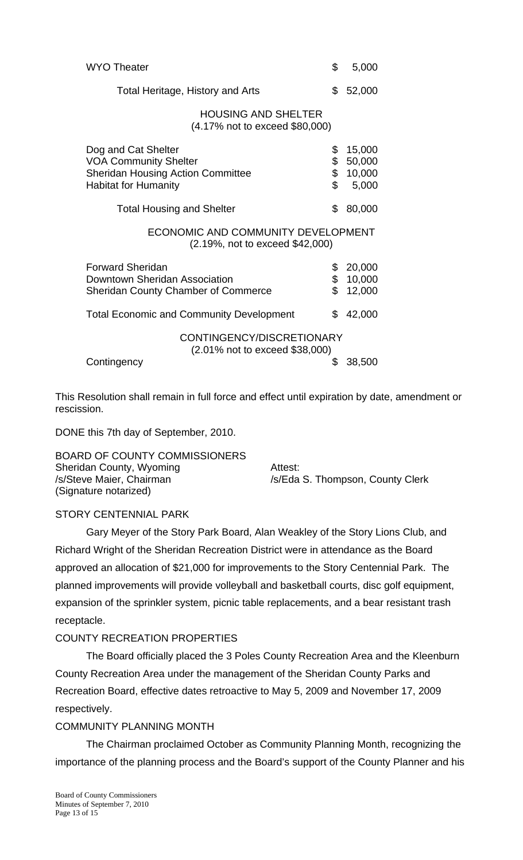| <b>WYO Theater</b>                                                                                                             | \$                   | 5,000                               |
|--------------------------------------------------------------------------------------------------------------------------------|----------------------|-------------------------------------|
| Total Heritage, History and Arts                                                                                               | \$                   | 52,000                              |
| <b>HOUSING AND SHELTER</b><br>(4.17% not to exceed \$80,000)                                                                   |                      |                                     |
| Dog and Cat Shelter<br><b>VOA Community Shelter</b><br><b>Sheridan Housing Action Committee</b><br><b>Habitat for Humanity</b> | \$<br>\$<br>\$<br>\$ | 15,000<br>50,000<br>10,000<br>5,000 |
| <b>Total Housing and Shelter</b>                                                                                               | \$                   | 80,000                              |
| ECONOMIC AND COMMUNITY DEVELOPMENT<br>(2.19%, not to exceed \$42,000)                                                          |                      |                                     |
| <b>Forward Sheridan</b><br>Downtown Sheridan Association<br><b>Sheridan County Chamber of Commerce</b>                         | \$<br>\$<br>\$       | 20,000<br>10,000<br>12,000          |
| <b>Total Economic and Community Development</b>                                                                                | \$                   | 42,000                              |
| CONTINGENCY/DISCRETIONARY                                                                                                      |                      |                                     |
| (2.01% not to exceed \$38,000)<br>Contingency                                                                                  | \$                   | 38,500                              |

This Resolution shall remain in full force and effect until expiration by date, amendment or rescission.

DONE this 7th day of September, 2010.

BOARD OF COUNTY COMMISSIONERS Sheridan County, Wyoming **Attest:** /s/Steve Maier, Chairman /s/Eda S. Thompson, County Clerk (Signature notarized)

## STORY CENTENNIAL PARK

 Gary Meyer of the Story Park Board, Alan Weakley of the Story Lions Club, and Richard Wright of the Sheridan Recreation District were in attendance as the Board approved an allocation of \$21,000 for improvements to the Story Centennial Park. The planned improvements will provide volleyball and basketball courts, disc golf equipment, expansion of the sprinkler system, picnic table replacements, and a bear resistant trash receptacle.

## COUNTY RECREATION PROPERTIES

 The Board officially placed the 3 Poles County Recreation Area and the Kleenburn County Recreation Area under the management of the Sheridan County Parks and Recreation Board, effective dates retroactive to May 5, 2009 and November 17, 2009 respectively.

## COMMUNITY PLANNING MONTH

 The Chairman proclaimed October as Community Planning Month, recognizing the importance of the planning process and the Board's support of the County Planner and his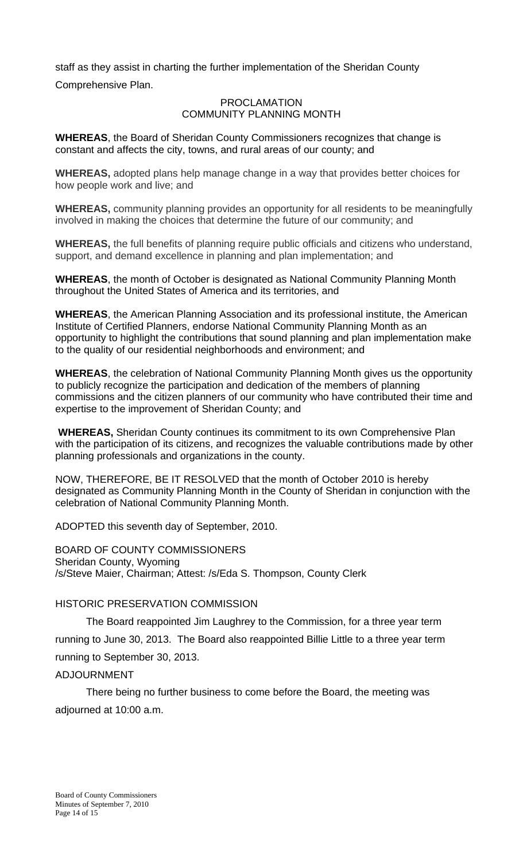staff as they assist in charting the further implementation of the Sheridan County Comprehensive Plan.

#### PROCLAMATION COMMUNITY PLANNING MONTH

**WHEREAS**, the Board of Sheridan County Commissioners recognizes that change is constant and affects the city, towns, and rural areas of our county; and

**WHEREAS,** adopted plans help manage change in a way that provides better choices for how people work and live; and

**WHEREAS,** community planning provides an opportunity for all residents to be meaningfully involved in making the choices that determine the future of our community; and

**WHEREAS,** the full benefits of planning require public officials and citizens who understand, support, and demand excellence in planning and plan implementation; and

**WHEREAS**, the month of October is designated as National Community Planning Month throughout the United States of America and its territories, and

**WHEREAS**, the American Planning Association and its professional institute, the American Institute of Certified Planners, endorse National Community Planning Month as an opportunity to highlight the contributions that sound planning and plan implementation make to the quality of our residential neighborhoods and environment; and

**WHEREAS**, the celebration of National Community Planning Month gives us the opportunity to publicly recognize the participation and dedication of the members of planning commissions and the citizen planners of our community who have contributed their time and expertise to the improvement of Sheridan County; and

**WHEREAS,** Sheridan County continues its commitment to its own Comprehensive Plan with the participation of its citizens, and recognizes the valuable contributions made by other planning professionals and organizations in the county.

NOW, THEREFORE, BE IT RESOLVED that the month of October 2010 is hereby designated as Community Planning Month in the County of Sheridan in conjunction with the celebration of National Community Planning Month.

ADOPTED this seventh day of September, 2010.

BOARD OF COUNTY COMMISSIONERS Sheridan County, Wyoming /s/Steve Maier, Chairman; Attest: /s/Eda S. Thompson, County Clerk

## HISTORIC PRESERVATION COMMISSION

The Board reappointed Jim Laughrey to the Commission, for a three year term

running to June 30, 2013. The Board also reappointed Billie Little to a three year term running to September 30, 2013.

## ADJOURNMENT

 There being no further business to come before the Board, the meeting was adjourned at 10:00 a.m.